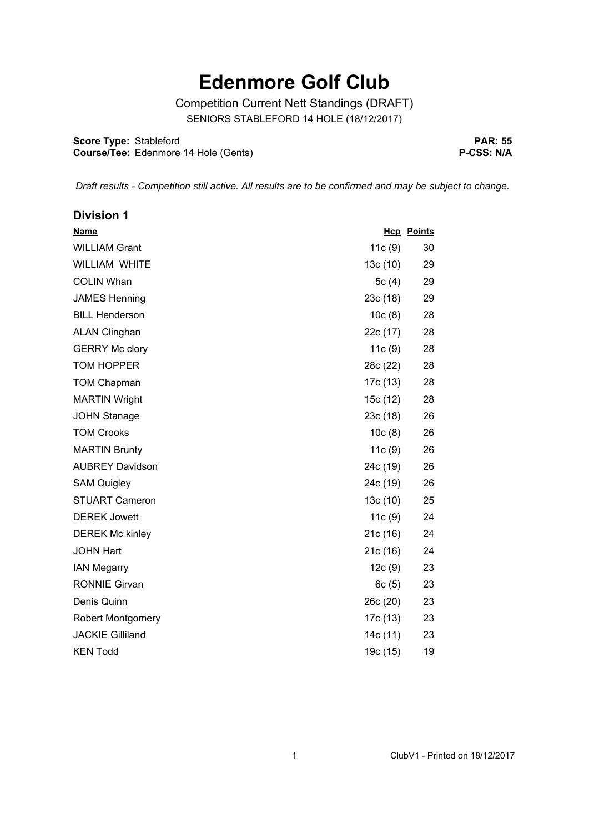## **Edenmore Golf Club**

Competition Current Nett Standings (DRAFT) SENIORS STABLEFORD 14 HOLE (18/12/2017)

**Score Type: Course/Tee:** Stableford Edenmore 14 Hole (Gents)

**PAR: 55 P-CSS: N/A**

*Draft results - Competition still active. All results are to be confirmed and may be subject to change.* 

| <b>Division 1</b>        |          |                   |
|--------------------------|----------|-------------------|
| <b>Name</b>              |          | <b>Hcp</b> Points |
| <b>WILLIAM Grant</b>     | 11c(9)   | 30                |
| <b>WILLIAM WHITE</b>     | 13c(10)  | 29                |
| <b>COLIN Whan</b>        | 5 $c(4)$ | 29                |
| <b>JAMES Henning</b>     | 23c (18) | 29                |
| <b>BILL Henderson</b>    | 10c(8)   | 28                |
| <b>ALAN Clinghan</b>     | 22c (17) | 28                |
| <b>GERRY Mc clory</b>    | 11c(9)   | 28                |
| <b>TOM HOPPER</b>        | 28c (22) | 28                |
| <b>TOM Chapman</b>       | 17c (13) | 28                |
| <b>MARTIN Wright</b>     | 15c (12) | 28                |
| <b>JOHN Stanage</b>      | 23c (18) | 26                |
| <b>TOM Crooks</b>        | 10c(8)   | 26                |
| <b>MARTIN Brunty</b>     | 11c(9)   | 26                |
| <b>AUBREY Davidson</b>   | 24c (19) | 26                |
| <b>SAM Quigley</b>       | 24c (19) | 26                |
| <b>STUART Cameron</b>    | 13c(10)  | 25                |
| <b>DEREK Jowett</b>      | 11c(9)   | 24                |
| <b>DEREK Mc kinley</b>   | 21c (16) | 24                |
| <b>JOHN Hart</b>         | 21c (16) | 24                |
| <b>IAN Megarry</b>       | 12c(9)   | 23                |
| <b>RONNIE Girvan</b>     | 6c(5)    | 23                |
| Denis Quinn              | 26c (20) | 23                |
| <b>Robert Montgomery</b> | 17c (13) | 23                |
| <b>JACKIE Gilliland</b>  | 14c (11) | 23                |
| <b>KEN Todd</b>          | 19c (15) | 19                |